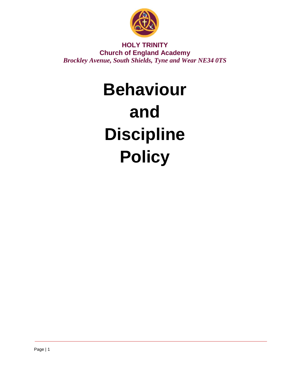

**HOLY TRINITY Church of England Academy** *Brockley Avenue, South Shields, Tyne and Wear NE34 0TS* 

# **Behaviour and Discipline Policy**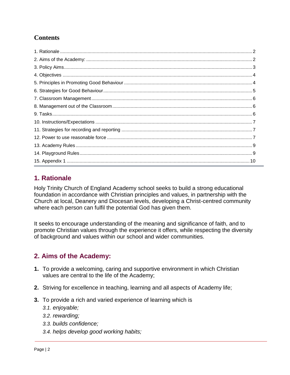# **Contents**

# <span id="page-1-0"></span>**1. Rationale**

Holy Trinity Church of England Academy school seeks to build a strong educational foundation in accordance with Christian principles and values, in partnership with the Church at local, Deanery and Diocesan levels, developing a Christ-centred community where each person can fulfil the potential God has given them.

It seeks to encourage understanding of the meaning and significance of faith, and to promote Christian values through the experience it offers, while respecting the diversity of background and values within our school and wider communities.

# <span id="page-1-1"></span>**2. Aims of the Academy:**

- **1.** To provide a welcoming, caring and supportive environment in which Christian values are central to the life of the Academy;
- **2.** Striving for excellence in teaching, learning and all aspects of Academy life;
- **3.** To provide a rich and varied experience of learning which is
	- *3.1. enjoyable;*
	- *3.2. rewarding;*
	- *3.3. builds confidence;*
	- *3.4. helps develop good working habits;*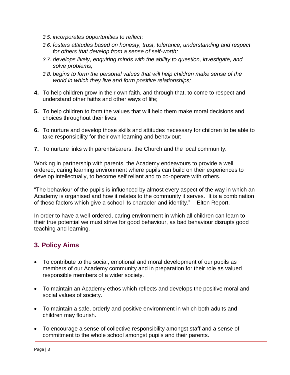- *3.5. incorporates opportunities to reflect;*
- *3.6. fosters attitudes based on honesty, trust, tolerance, understanding and respect for others that develop from a sense of self-worth;*
- *3.7. develops lively, enquiring minds with the ability to question, investigate, and solve problems;*
- *3.8. begins to form the personal values that will help children make sense of the world in which they live and form positive relationships;*
- **4.** To help children grow in their own faith, and through that, to come to respect and understand other faiths and other ways of life;
- **5.** To help children to form the values that will help them make moral decisions and choices throughout their lives;
- **6.** To nurture and develop those skills and attitudes necessary for children to be able to take responsibility for their own learning and behaviour;
- **7.** To nurture links with parents/carers, the Church and the local community.

Working in partnership with parents, the Academy endeavours to provide a well ordered, caring learning environment where pupils can build on their experiences to develop intellectually, to become self reliant and to co-operate with others.

"The behaviour of the pupils is influenced by almost every aspect of the way in which an Academy is organised and how it relates to the community it serves. It is a combination of these factors which give a school its character and identity." – Elton Report.

In order to have a well-ordered, caring environment in which all children can learn to their true potential we must strive for good behaviour, as bad behaviour disrupts good teaching and learning.

## <span id="page-2-0"></span>**3. Policy Aims**

- To contribute to the social, emotional and moral development of our pupils as members of our Academy community and in preparation for their role as valued responsible members of a wider society.
- To maintain an Academy ethos which reflects and develops the positive moral and social values of society.
- To maintain a safe, orderly and positive environment in which both adults and children may flourish.
- To encourage a sense of collective responsibility amongst staff and a sense of commitment to the whole school amongst pupils and their parents.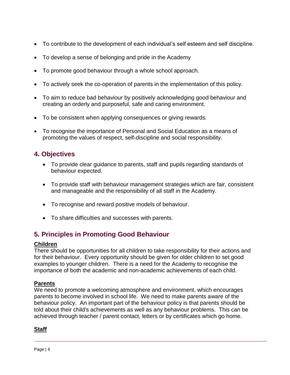- To contribute to the development of each individual's self esteem and self discipline.
- To develop a sense of belonging and pride in the Academy
- To promote good behaviour through a whole school approach.
- To actively seek the co-operation of parents in the implementation of this policy.
- To aim to reduce bad behaviour by positively acknowledging good behaviour and creating an orderly and purposeful, safe and caring environment.
- To be consistent when applying consequences or giving rewards.
- To recognise the importance of Personal and Social Education as a means of promoting the values of respect, self-discipline and social responsibility.

## <span id="page-3-0"></span>**4. Objectives**

- To provide clear guidance to parents, staff and pupils regarding standards of behaviour expected.
- To provide staff with behaviour management strategies which are fair, consistent and manageable and the responsibility of all staff in the Academy.
- To recognise and reward positive models of behaviour.
- To share difficulties and successes with parents.

## <span id="page-3-1"></span>**5. Principles in Promoting Good Behaviour**

#### **Children**

There should be opportunities for all children to take responsibility for their actions and for their behaviour. Every opportunity should be given for older children to set good examples to younger children. There is a need for the Academy to recognise the importance of both the academic and non-academic achievements of each child.

#### **Parents**

We need to promote a welcoming atmosphere and environment, which encourages parents to become involved in school life. We need to make parents aware of the behaviour policy. An important part of the behaviour policy is that parents should be told about their child's achievements as well as any behaviour problems. This can be achieved through teacher / parent contact, letters or by certificates which go home.

#### **Staff**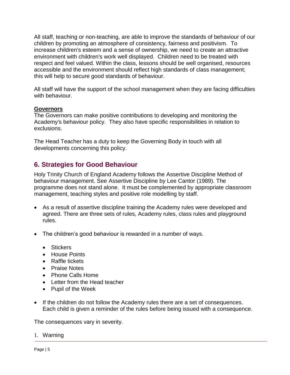All staff, teaching or non-teaching, are able to improve the standards of behaviour of our children by promoting an atmosphere of consistency, fairness and positivism. To increase children's esteem and a sense of ownership, we need to create an attractive environment with children's work well displayed. Children need to be treated with respect and feel valued. Within the class, lessons should be well organised, resources accessible and the environment should reflect high standards of class management; this will help to secure good standards of behaviour.

All staff will have the support of the school management when they are facing difficulties with behaviour.

#### **Governors**

The Governors can make positive contributions to developing and monitoring the Academy's behaviour policy. They also have specific responsibilities in relation to exclusions.

The Head Teacher has a duty to keep the Governing Body in touch with all developments concerning this policy.

## <span id="page-4-0"></span>**6. Strategies for Good Behaviour**

Holy Trinity Church of England Academy follows the Assertive Discipline Method of behaviour management. See Assertive Discipline by Lee Cantor (1989). The programme does not stand alone. It must be complemented by appropriate classroom management, teaching styles and positive role modelling by staff.

- As a result of assertive discipline training the Academy rules were developed and agreed. There are three sets of rules, Academy rules, class rules and playground rules.
- The children's good behaviour is rewarded in a number of ways.
	- Stickers
	- House Points
	- Raffle tickets
	- Praise Notes
	- Phone Calls Home
	- Letter from the Head teacher
	- Pupil of the Week
- If the children do not follow the Academy rules there are a set of consequences. Each child is given a reminder of the rules before being issued with a consequence.

The consequences vary in severity.

1. Warning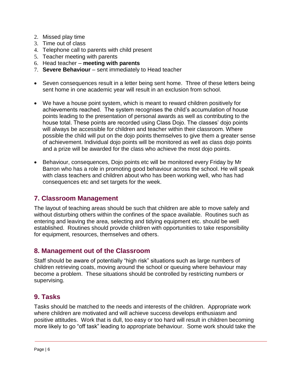- 2. Missed play time
- 3. Time out of class
- 4. Telephone call to parents with child present
- 5. Teacher meeting with parents
- 6. Head teacher **meeting with parents**
- 7. **Severe Behaviour** sent immediately to Head teacher
- Seven consequences result in a letter being sent home. Three of these letters being sent home in one academic year will result in an exclusion from school.
- We have a house point system, which is meant to reward children positively for achievements reached. The system recognises the child's accumulation of house points leading to the presentation of personal awards as well as contributing to the house total. These points are recorded using Class Dojo. The classes' dojo points will always be accessible for children and teacher within their classroom. Where possible the child will put on the dojo points themselves to give them a greater sense of achievement. Individual dojo points will be monitored as well as class dojo points and a prize will be awarded for the class who achieve the most dojo points.
- Behaviour, consequences, Dojo points etc will be monitored every Friday by Mr Barron who has a role in promoting good behaviour across the school. He will speak with class teachers and children about who has been working well, who has had consequences etc and set targets for the week.

## <span id="page-5-0"></span>**7. Classroom Management**

The layout of teaching areas should be such that children are able to move safely and without disturbing others within the confines of the space available. Routines such as entering and leaving the area, selecting and tidying equipment etc. should be well established. Routines should provide children with opportunities to take responsibility for equipment, resources, themselves and others.

## <span id="page-5-1"></span>**8. Management out of the Classroom**

Staff should be aware of potentially "high risk" situations such as large numbers of children retrieving coats, moving around the school or queuing where behaviour may become a problem. These situations should be controlled by restricting numbers or supervising.

## <span id="page-5-2"></span>**9. Tasks**

Tasks should be matched to the needs and interests of the children. Appropriate work where children are motivated and will achieve success develops enthusiasm and positive attitudes. Work that is dull, too easy or too hard will result in children becoming more likely to go "off task" leading to appropriate behaviour. Some work should take the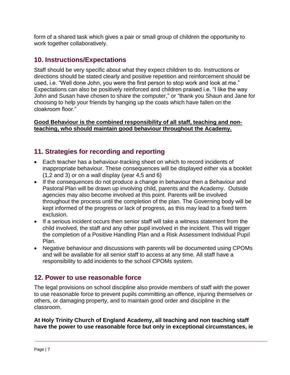form of a shared task which gives a pair or small group of children the opportunity to work together collaboratively.

## <span id="page-6-0"></span>**10. Instructions/Expectations**

Staff should be very specific about what they expect children to do. Instructions or directions should be stated clearly and positive repetition and reinforcement should be used, i.e. "Well done John, you were the first person to stop work and look at me." Expectations can also be positively reinforced and children praised i.e. "I like the way John and Susan have chosen to share the computer," or "thank you Shaun and Jane for choosing to help your friends by hanging up the coats which have fallen on the cloakroom floor."

#### **Good Behaviour is the combined responsibility of all staff, teaching and nonteaching, who should maintain good behaviour throughout the Academy.**

## <span id="page-6-1"></span>**11. Strategies for recording and reporting**

- Each teacher has a behaviour-tracking sheet on which to record incidents of inappropriate behaviour. These consequences will be displayed either via a booklet (1,2 and 3) or on a wall display (year 4,5 and 6)
- If the consequences do not produce a change in behaviour then a Behaviour and Pastoral Plan will be drawn up involving child, parents and the Academy. Outside agencies may also become involved at this point. Parents will be involved throughout the process until the completion of the plan. The Governing body will be kept informed of the progress or lack of progress, as this may lead to a fixed term exclusion.
- If a serious incident occurs then senior staff will take a witness statement from the child involved, the staff and any other pupil involved in the incident. This will trigger the completion of a Positive Handling Plan and a Risk Assessment Individual Pupil Plan.
- Negative behaviour and discussions with parents will be documented using CPOMs and will be available for all senior staff to access at any time. All staff have a responsibility to add incidents to the school CPOMs system.

## <span id="page-6-2"></span>**12. Power to use reasonable force**

The legal provisions on school discipline also provide members of staff with the power to use reasonable force to prevent pupils committing an offence, injuring themselves or others, or damaging property, and to maintain good order and discipline in the classroom.

**At Holy Trinity Church of England Academy, all teaching and non teaching staff have the power to use reasonable force but only in exceptional circumstances, ie**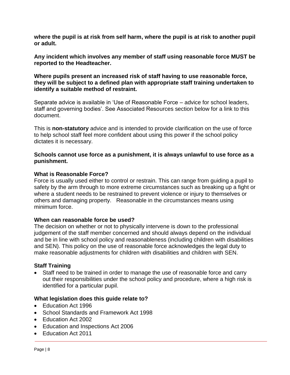**where the pupil is at risk from self harm, where the pupil is at risk to another pupil or adult.** 

**Any incident which involves any member of staff using reasonable force MUST be reported to the Headteacher.** 

**Where pupils present an increased risk of staff having to use reasonable force, they will be subject to a defined plan with appropriate staff training undertaken to identify a suitable method of restraint.** 

Separate advice is available in 'Use of Reasonable Force – advice for school leaders, staff and governing bodies'. See Associated Resources section below for a link to this document.

This is **non-statutory** advice and is intended to provide clarification on the use of force to help school staff feel more confident about using this power if the school policy dictates it is necessary.

#### **Schools cannot use force as a punishment, it is always unlawful to use force as a punishment.**

#### **What is Reasonable Force?**

Force is usually used either to control or restrain. This can range from guiding a pupil to safety by the arm through to more extreme circumstances such as breaking up a fight or where a student needs to be restrained to prevent violence or injury to themselves or others and damaging property. Reasonable in the circumstances means using minimum force.

#### **When can reasonable force be used?**

The decision on whether or not to physically intervene is down to the professional judgement of the staff member concerned and should always depend on the individual and be in line with school policy and reasonableness (including children with disabilities and SEN). This policy on the use of reasonable force acknowledges the legal duty to make reasonable adjustments for children with disabilities and children with SEN.

#### **Staff Training**

• Staff need to be trained in order to manage the use of reasonable force and carry out their responsibilities under the school policy and procedure, where a high risk is identified for a particular pupil.

#### **What legislation does this guide relate to?**

- Education Act 1996
- School Standards and Framework Act 1998
- Education Act 2002
- Education and Inspections Act 2006
- Education Act 2011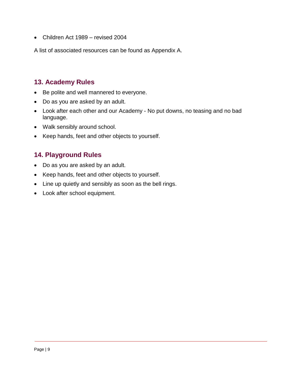• Children Act 1989 – revised 2004

A list of associated resources can be found as Appendix A.

## <span id="page-8-0"></span>**13. Academy Rules**

- Be polite and well mannered to everyone.
- Do as you are asked by an adult.
- Look after each other and our Academy No put downs, no teasing and no bad language.
- Walk sensibly around school.
- Keep hands, feet and other objects to yourself.

## <span id="page-8-1"></span>**14. Playground Rules**

- Do as you are asked by an adult.
- Keep hands, feet and other objects to yourself.
- Line up quietly and sensibly as soon as the bell rings.
- Look after school equipment.